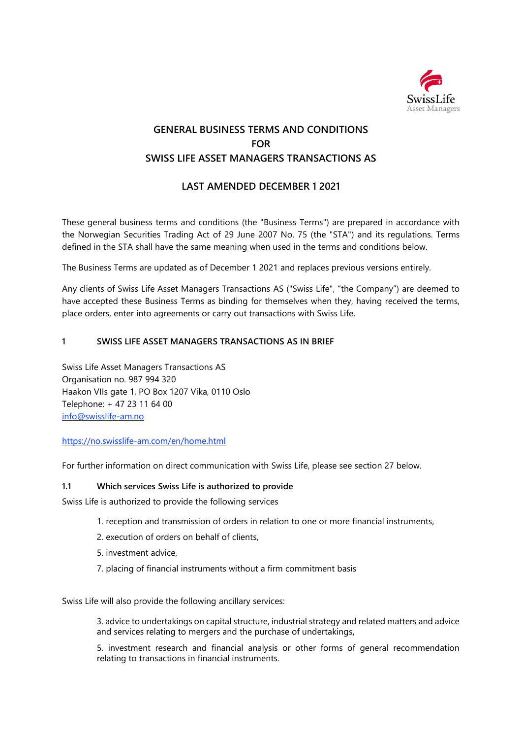

# **GENERAL BUSINESS TERMS AND CONDITIONS FOR SWISS LIFE ASSET MANAGERS TRANSACTIONS AS**

# **LAST AMENDED DECEMBER 1 2021**

These general business terms and conditions (the "Business Terms") are prepared in accordance with the Norwegian Securities Trading Act of 29 June 2007 No. 75 (the "STA") and its regulations. Terms defined in the STA shall have the same meaning when used in the terms and conditions below.

The Business Terms are updated as of December 1 2021 and replaces previous versions entirely.

Any clients of Swiss Life Asset Managers Transactions AS ("Swiss Life", "the Company") are deemed to have accepted these Business Terms as binding for themselves when they, having received the terms, place orders, enter into agreements or carry out transactions with Swiss Life.

#### **1 SWISS LIFE ASSET MANAGERS TRANSACTIONS AS IN BRIEF**

Swiss Life Asset Managers Transactions AS Organisation no. 987 994 320 Haakon VIIs gate 1, PO Box 1207 Vika, 0110 Oslo Telephone: + 47 23 11 64 00 [info@swisslife-am.no](mailto:info@swisslife-am.no)

#### <https://no.swisslife-am.com/en/home.html>

For further information on direct communication with Swiss Life, please see section 27 below.

#### **1.1 Which services Swiss Life is authorized to provide**

Swiss Life is authorized to provide the following services

- 1. reception and transmission of orders in relation to one or more financial instruments,
- 2. execution of orders on behalf of clients,
- 5. investment advice,
- 7. placing of financial instruments without a firm commitment basis

Swiss Life will also provide the following ancillary services:

3. advice to undertakings on capital structure, industrial strategy and related matters and advice and services relating to mergers and the purchase of undertakings,

5. investment research and financial analysis or other forms of general recommendation relating to transactions in financial instruments.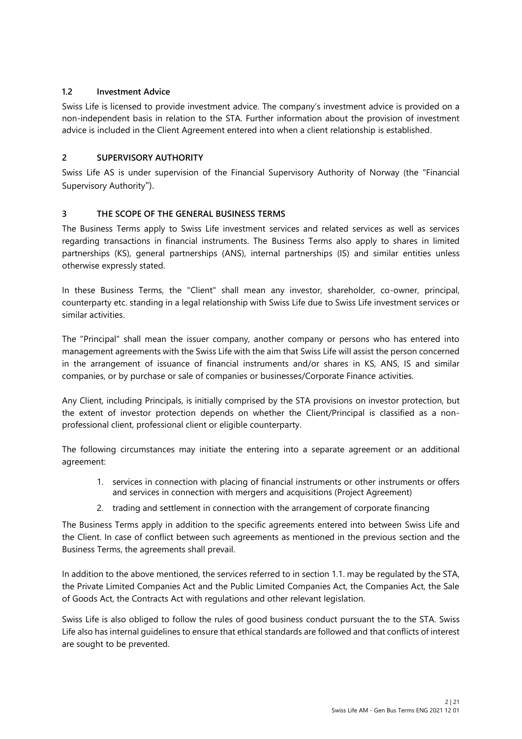### **1.2 Investment Advice**

Swiss Life is licensed to provide investment advice. The company's investment advice is provided on a non-independent basis in relation to the STA. Further information about the provision of investment advice is included in the Client Agreement entered into when a client relationship is established.

### **2 SUPERVISORY AUTHORITY**

Swiss Life AS is under supervision of the Financial Supervisory Authority of Norway (the "Financial Supervisory Authority").

# **3 THE SCOPE OF THE GENERAL BUSINESS TERMS**

The Business Terms apply to Swiss Life investment services and related services as well as services regarding transactions in financial instruments. The Business Terms also apply to shares in limited partnerships (KS), general partnerships (ANS), internal partnerships (IS) and similar entities unless otherwise expressly stated.

In these Business Terms, the "Client" shall mean any investor, shareholder, co-owner, principal, counterparty etc. standing in a legal relationship with Swiss Life due to Swiss Life investment services or similar activities.

The "Principal" shall mean the issuer company, another company or persons who has entered into management agreements with the Swiss Life with the aim that Swiss Life will assist the person concerned in the arrangement of issuance of financial instruments and/or shares in KS, ANS, IS and similar companies, or by purchase or sale of companies or businesses/Corporate Finance activities.

Any Client, including Principals, is initially comprised by the STA provisions on investor protection, but the extent of investor protection depends on whether the Client/Principal is classified as a nonprofessional client, professional client or eligible counterparty.

The following circumstances may initiate the entering into a separate agreement or an additional agreement:

- 1. services in connection with placing of financial instruments or other instruments or offers and services in connection with mergers and acquisitions (Project Agreement)
- 2. trading and settlement in connection with the arrangement of corporate financing

The Business Terms apply in addition to the specific agreements entered into between Swiss Life and the Client. In case of conflict between such agreements as mentioned in the previous section and the Business Terms, the agreements shall prevail.

In addition to the above mentioned, the services referred to in section 1.1. may be regulated by the STA, the Private Limited Companies Act and the Public Limited Companies Act, the Companies Act, the Sale of Goods Act, the Contracts Act with regulations and other relevant legislation.

Swiss Life is also obliged to follow the rules of good business conduct pursuant the to the STA. Swiss Life also has internal guidelines to ensure that ethical standards are followed and that conflicts of interest are sought to be prevented.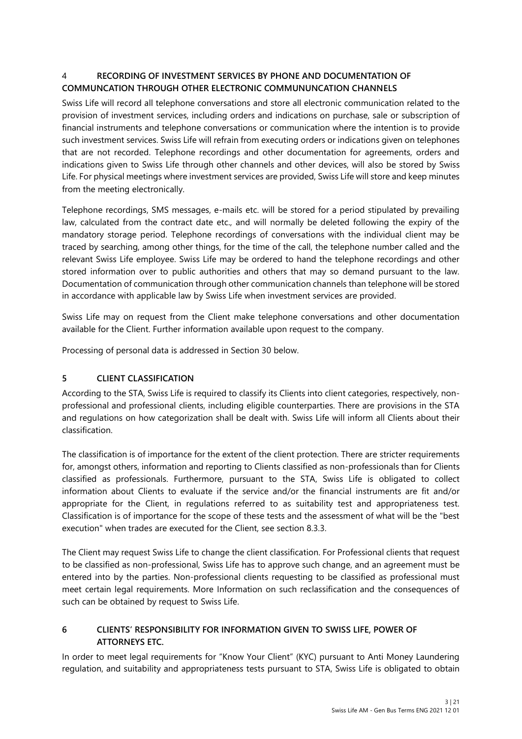# 4 **RECORDING OF INVESTMENT SERVICES BY PHONE AND DOCUMENTATION OF COMMUNCATION THROUGH OTHER ELECTRONIC COMMUNUNCATION CHANNELS**

Swiss Life will record all telephone conversations and store all electronic communication related to the provision of investment services, including orders and indications on purchase, sale or subscription of financial instruments and telephone conversations or communication where the intention is to provide such investment services. Swiss Life will refrain from executing orders or indications given on telephones that are not recorded. Telephone recordings and other documentation for agreements, orders and indications given to Swiss Life through other channels and other devices, will also be stored by Swiss Life. For physical meetings where investment services are provided, Swiss Life will store and keep minutes from the meeting electronically.

Telephone recordings, SMS messages, e-mails etc. will be stored for a period stipulated by prevailing law, calculated from the contract date etc., and will normally be deleted following the expiry of the mandatory storage period. Telephone recordings of conversations with the individual client may be traced by searching, among other things, for the time of the call, the telephone number called and the relevant Swiss Life employee. Swiss Life may be ordered to hand the telephone recordings and other stored information over to public authorities and others that may so demand pursuant to the law. Documentation of communication through other communication channels than telephone will be stored in accordance with applicable law by Swiss Life when investment services are provided.

Swiss Life may on request from the Client make telephone conversations and other documentation available for the Client. Further information available upon request to the company.

Processing of personal data is addressed in Section 30 below.

### **5 CLIENT CLASSIFICATION**

According to the STA, Swiss Life is required to classify its Clients into client categories, respectively, nonprofessional and professional clients, including eligible counterparties. There are provisions in the STA and regulations on how categorization shall be dealt with. Swiss Life will inform all Clients about their classification.

The classification is of importance for the extent of the client protection. There are stricter requirements for, amongst others, information and reporting to Clients classified as non-professionals than for Clients classified as professionals. Furthermore, pursuant to the STA, Swiss Life is obligated to collect information about Clients to evaluate if the service and/or the financial instruments are fit and/or appropriate for the Client, in regulations referred to as suitability test and appropriateness test. Classification is of importance for the scope of these tests and the assessment of what will be the "best execution" when trades are executed for the Client, see section 8.3.3.

The Client may request Swiss Life to change the client classification. For Professional clients that request to be classified as non-professional, Swiss Life has to approve such change, and an agreement must be entered into by the parties. Non-professional clients requesting to be classified as professional must meet certain legal requirements. More Information on such reclassification and the consequences of such can be obtained by request to Swiss Life.

### **6 CLIENTS' RESPONSIBILITY FOR INFORMATION GIVEN TO SWISS LIFE, POWER OF ATTORNEYS ETC.**

In order to meet legal requirements for "Know Your Client" (KYC) pursuant to Anti Money Laundering regulation, and suitability and appropriateness tests pursuant to STA, Swiss Life is obligated to obtain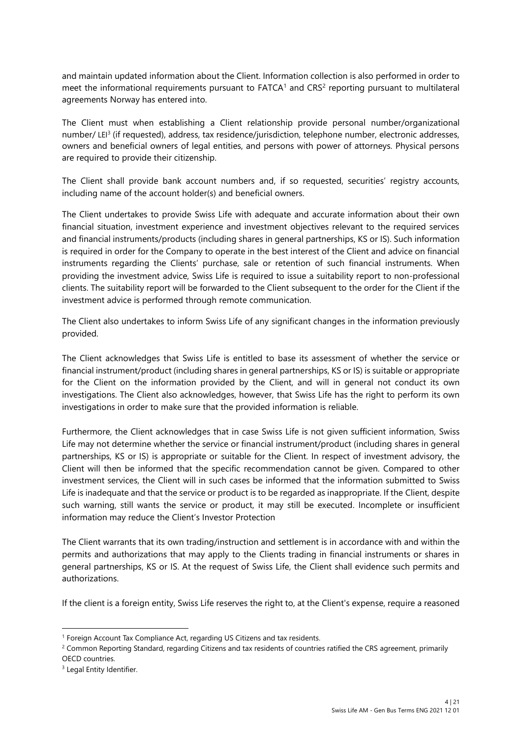and maintain updated information about the Client. Information collection is also performed in order to meet the informational requirements pursuant to  $FATCA<sup>1</sup>$  and  $CRS<sup>2</sup>$  reporting pursuant to multilateral agreements Norway has entered into.

The Client must when establishing a Client relationship provide personal number/organizational number/ LEI<sup>3</sup> (if requested), address, tax residence/jurisdiction, telephone number, electronic addresses, owners and beneficial owners of legal entities, and persons with power of attorneys. Physical persons are required to provide their citizenship.

The Client shall provide bank account numbers and, if so requested, securities' registry accounts, including name of the account holder(s) and beneficial owners.

The Client undertakes to provide Swiss Life with adequate and accurate information about their own financial situation, investment experience and investment objectives relevant to the required services and financial instruments/products (including shares in general partnerships, KS or IS). Such information is required in order for the Company to operate in the best interest of the Client and advice on financial instruments regarding the Clients' purchase, sale or retention of such financial instruments. When providing the investment advice, Swiss Life is required to issue a suitability report to non-professional clients. The suitability report will be forwarded to the Client subsequent to the order for the Client if the investment advice is performed through remote communication.

The Client also undertakes to inform Swiss Life of any significant changes in the information previously provided.

The Client acknowledges that Swiss Life is entitled to base its assessment of whether the service or financial instrument/product (including shares in general partnerships, KS or IS) is suitable or appropriate for the Client on the information provided by the Client, and will in general not conduct its own investigations. The Client also acknowledges, however, that Swiss Life has the right to perform its own investigations in order to make sure that the provided information is reliable.

Furthermore, the Client acknowledges that in case Swiss Life is not given sufficient information, Swiss Life may not determine whether the service or financial instrument/product (including shares in general partnerships, KS or IS) is appropriate or suitable for the Client. In respect of investment advisory, the Client will then be informed that the specific recommendation cannot be given. Compared to other investment services, the Client will in such cases be informed that the information submitted to Swiss Life is inadequate and that the service or product is to be regarded as inappropriate. If the Client, despite such warning, still wants the service or product, it may still be executed. Incomplete or insufficient information may reduce the Client's Investor Protection

The Client warrants that its own trading/instruction and settlement is in accordance with and within the permits and authorizations that may apply to the Clients trading in financial instruments or shares in general partnerships, KS or IS. At the request of Swiss Life, the Client shall evidence such permits and authorizations.

If the client is a foreign entity, Swiss Life reserves the right to, at the Client's expense, require a reasoned

<sup>&</sup>lt;sup>1</sup> Foreign Account Tax Compliance Act, regarding US Citizens and tax residents.

<sup>&</sup>lt;sup>2</sup> Common Reporting Standard, regarding Citizens and tax residents of countries ratified the CRS agreement, primarily OECD countries.

<sup>&</sup>lt;sup>3</sup> Legal Entity Identifier.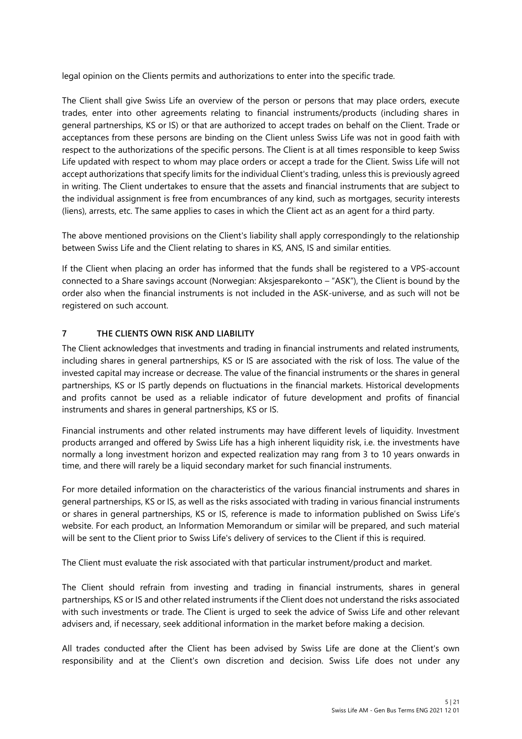legal opinion on the Clients permits and authorizations to enter into the specific trade.

The Client shall give Swiss Life an overview of the person or persons that may place orders, execute trades, enter into other agreements relating to financial instruments/products (including shares in general partnerships, KS or IS) or that are authorized to accept trades on behalf on the Client. Trade or acceptances from these persons are binding on the Client unless Swiss Life was not in good faith with respect to the authorizations of the specific persons. The Client is at all times responsible to keep Swiss Life updated with respect to whom may place orders or accept a trade for the Client. Swiss Life will not accept authorizations that specify limits for the individual Client's trading, unless this is previously agreed in writing. The Client undertakes to ensure that the assets and financial instruments that are subject to the individual assignment is free from encumbrances of any kind, such as mortgages, security interests (liens), arrests, etc. The same applies to cases in which the Client act as an agent for a third party.

The above mentioned provisions on the Client's liability shall apply correspondingly to the relationship between Swiss Life and the Client relating to shares in KS, ANS, IS and similar entities.

If the Client when placing an order has informed that the funds shall be registered to a VPS-account connected to a Share savings account (Norwegian: Aksjesparekonto – "ASK"), the Client is bound by the order also when the financial instruments is not included in the ASK-universe, and as such will not be registered on such account.

#### **7 THE CLIENTS OWN RISK AND LIABILITY**

The Client acknowledges that investments and trading in financial instruments and related instruments, including shares in general partnerships, KS or IS are associated with the risk of loss. The value of the invested capital may increase or decrease. The value of the financial instruments or the shares in general partnerships, KS or IS partly depends on fluctuations in the financial markets. Historical developments and profits cannot be used as a reliable indicator of future development and profits of financial instruments and shares in general partnerships, KS or IS.

Financial instruments and other related instruments may have different levels of liquidity. Investment products arranged and offered by Swiss Life has a high inherent liquidity risk, i.e. the investments have normally a long investment horizon and expected realization may rang from 3 to 10 years onwards in time, and there will rarely be a liquid secondary market for such financial instruments.

For more detailed information on the characteristics of the various financial instruments and shares in general partnerships, KS or IS, as well as the risks associated with trading in various financial instruments or shares in general partnerships, KS or IS, reference is made to information published on Swiss Life's website. For each product, an Information Memorandum or similar will be prepared, and such material will be sent to the Client prior to Swiss Life's delivery of services to the Client if this is required.

The Client must evaluate the risk associated with that particular instrument/product and market.

The Client should refrain from investing and trading in financial instruments, shares in general partnerships, KS or IS and other related instruments if the Client does not understand the risks associated with such investments or trade. The Client is urged to seek the advice of Swiss Life and other relevant advisers and, if necessary, seek additional information in the market before making a decision.

All trades conducted after the Client has been advised by Swiss Life are done at the Client's own responsibility and at the Client's own discretion and decision. Swiss Life does not under any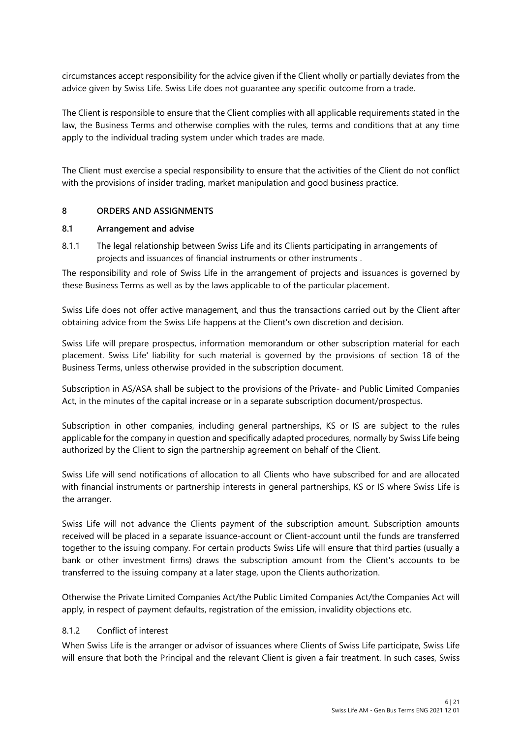circumstances accept responsibility for the advice given if the Client wholly or partially deviates from the advice given by Swiss Life. Swiss Life does not guarantee any specific outcome from a trade.

The Client is responsible to ensure that the Client complies with all applicable requirements stated in the law, the Business Terms and otherwise complies with the rules, terms and conditions that at any time apply to the individual trading system under which trades are made.

The Client must exercise a special responsibility to ensure that the activities of the Client do not conflict with the provisions of insider trading, market manipulation and good business practice.

#### **8 ORDERS AND ASSIGNMENTS**

#### **8.1 Arrangement and advise**

8.1.1 The legal relationship between Swiss Life and its Clients participating in arrangements of projects and issuances of financial instruments or other instruments .

The responsibility and role of Swiss Life in the arrangement of projects and issuances is governed by these Business Terms as well as by the laws applicable to of the particular placement.

Swiss Life does not offer active management, and thus the transactions carried out by the Client after obtaining advice from the Swiss Life happens at the Client's own discretion and decision.

Swiss Life will prepare prospectus, information memorandum or other subscription material for each placement. Swiss Life' liability for such material is governed by the provisions of section 18 of the Business Terms, unless otherwise provided in the subscription document.

Subscription in AS/ASA shall be subject to the provisions of the Private- and Public Limited Companies Act, in the minutes of the capital increase or in a separate subscription document/prospectus.

Subscription in other companies, including general partnerships, KS or IS are subject to the rules applicable for the company in question and specifically adapted procedures, normally by Swiss Life being authorized by the Client to sign the partnership agreement on behalf of the Client.

Swiss Life will send notifications of allocation to all Clients who have subscribed for and are allocated with financial instruments or partnership interests in general partnerships, KS or IS where Swiss Life is the arranger.

Swiss Life will not advance the Clients payment of the subscription amount. Subscription amounts received will be placed in a separate issuance-account or Client-account until the funds are transferred together to the issuing company. For certain products Swiss Life will ensure that third parties (usually a bank or other investment firms) draws the subscription amount from the Client's accounts to be transferred to the issuing company at a later stage, upon the Clients authorization.

Otherwise the Private Limited Companies Act/the Public Limited Companies Act/the Companies Act will apply, in respect of payment defaults, registration of the emission, invalidity objections etc.

#### 8.1.2 Conflict of interest

When Swiss Life is the arranger or advisor of issuances where Clients of Swiss Life participate, Swiss Life will ensure that both the Principal and the relevant Client is given a fair treatment. In such cases, Swiss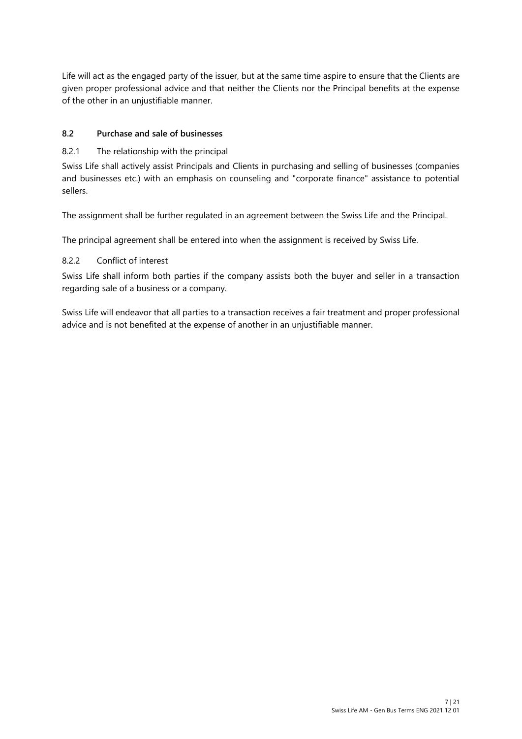Life will act as the engaged party of the issuer, but at the same time aspire to ensure that the Clients are given proper professional advice and that neither the Clients nor the Principal benefits at the expense of the other in an unjustifiable manner.

#### **8.2 Purchase and sale of businesses**

#### 8.2.1 The relationship with the principal

Swiss Life shall actively assist Principals and Clients in purchasing and selling of businesses (companies and businesses etc.) with an emphasis on counseling and "corporate finance" assistance to potential sellers.

The assignment shall be further regulated in an agreement between the Swiss Life and the Principal.

The principal agreement shall be entered into when the assignment is received by Swiss Life.

#### 8.2.2 Conflict of interest

Swiss Life shall inform both parties if the company assists both the buyer and seller in a transaction regarding sale of a business or a company.

Swiss Life will endeavor that all parties to a transaction receives a fair treatment and proper professional advice and is not benefited at the expense of another in an unjustifiable manner.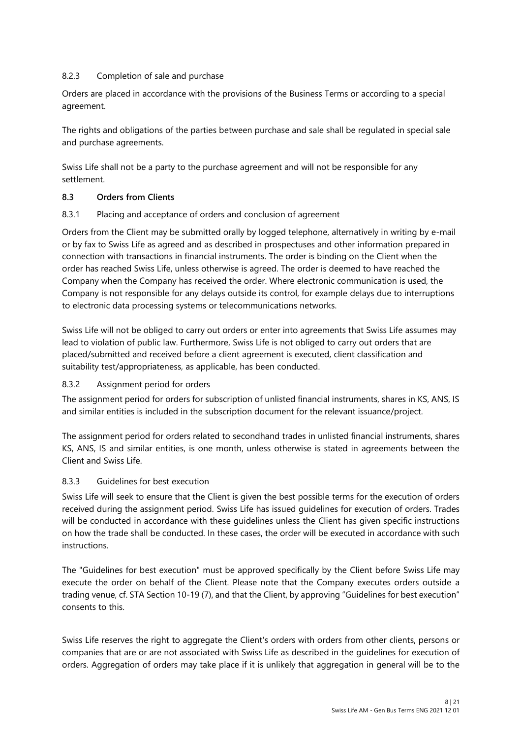### 8.2.3 Completion of sale and purchase

Orders are placed in accordance with the provisions of the Business Terms or according to a special agreement.

The rights and obligations of the parties between purchase and sale shall be regulated in special sale and purchase agreements.

Swiss Life shall not be a party to the purchase agreement and will not be responsible for any settlement.

#### **8.3 Orders from Clients**

#### 8.3.1 Placing and acceptance of orders and conclusion of agreement

Orders from the Client may be submitted orally by logged telephone, alternatively in writing by e-mail or by fax to Swiss Life as agreed and as described in prospectuses and other information prepared in connection with transactions in financial instruments. The order is binding on the Client when the order has reached Swiss Life, unless otherwise is agreed. The order is deemed to have reached the Company when the Company has received the order. Where electronic communication is used, the Company is not responsible for any delays outside its control, for example delays due to interruptions to electronic data processing systems or telecommunications networks.

Swiss Life will not be obliged to carry out orders or enter into agreements that Swiss Life assumes may lead to violation of public law. Furthermore, Swiss Life is not obliged to carry out orders that are placed/submitted and received before a client agreement is executed, client classification and suitability test/appropriateness, as applicable, has been conducted.

### 8.3.2 Assignment period for orders

The assignment period for orders for subscription of unlisted financial instruments, shares in KS, ANS, IS and similar entities is included in the subscription document for the relevant issuance/project.

The assignment period for orders related to secondhand trades in unlisted financial instruments, shares KS, ANS, IS and similar entities, is one month, unless otherwise is stated in agreements between the Client and Swiss Life.

### 8.3.3 Guidelines for best execution

Swiss Life will seek to ensure that the Client is given the best possible terms for the execution of orders received during the assignment period. Swiss Life has issued guidelines for execution of orders. Trades will be conducted in accordance with these guidelines unless the Client has given specific instructions on how the trade shall be conducted. In these cases, the order will be executed in accordance with such instructions.

The "Guidelines for best execution" must be approved specifically by the Client before Swiss Life may execute the order on behalf of the Client. Please note that the Company executes orders outside a trading venue, cf. STA Section 10-19 (7), and that the Client, by approving "Guidelines for best execution" consents to this.

Swiss Life reserves the right to aggregate the Client's orders with orders from other clients, persons or companies that are or are not associated with Swiss Life as described in the guidelines for execution of orders. Aggregation of orders may take place if it is unlikely that aggregation in general will be to the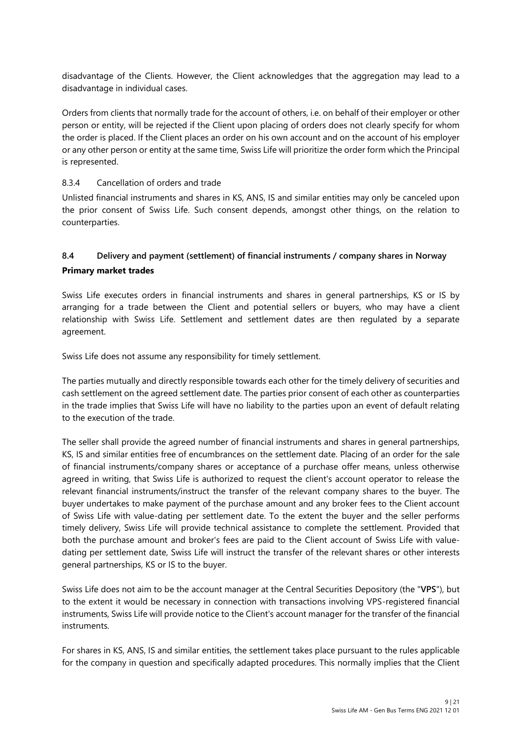disadvantage of the Clients. However, the Client acknowledges that the aggregation may lead to a disadvantage in individual cases.

Orders from clients that normally trade for the account of others, i.e. on behalf of their employer or other person or entity, will be rejected if the Client upon placing of orders does not clearly specify for whom the order is placed. If the Client places an order on his own account and on the account of his employer or any other person or entity at the same time, Swiss Life will prioritize the order form which the Principal is represented.

#### 8.3.4 Cancellation of orders and trade

Unlisted financial instruments and shares in KS, ANS, IS and similar entities may only be canceled upon the prior consent of Swiss Life. Such consent depends, amongst other things, on the relation to counterparties.

# **8.4 Delivery and payment (settlement) of financial instruments / company shares in Norway Primary market trades**

Swiss Life executes orders in financial instruments and shares in general partnerships, KS or IS by arranging for a trade between the Client and potential sellers or buyers, who may have a client relationship with Swiss Life. Settlement and settlement dates are then regulated by a separate agreement.

Swiss Life does not assume any responsibility for timely settlement.

The parties mutually and directly responsible towards each other for the timely delivery of securities and cash settlement on the agreed settlement date. The parties prior consent of each other as counterparties in the trade implies that Swiss Life will have no liability to the parties upon an event of default relating to the execution of the trade.

The seller shall provide the agreed number of financial instruments and shares in general partnerships, KS, IS and similar entities free of encumbrances on the settlement date. Placing of an order for the sale of financial instruments/company shares or acceptance of a purchase offer means, unless otherwise agreed in writing, that Swiss Life is authorized to request the client's account operator to release the relevant financial instruments/instruct the transfer of the relevant company shares to the buyer. The buyer undertakes to make payment of the purchase amount and any broker fees to the Client account of Swiss Life with value-dating per settlement date. To the extent the buyer and the seller performs timely delivery, Swiss Life will provide technical assistance to complete the settlement. Provided that both the purchase amount and broker's fees are paid to the Client account of Swiss Life with valuedating per settlement date, Swiss Life will instruct the transfer of the relevant shares or other interests general partnerships, KS or IS to the buyer.

Swiss Life does not aim to be the account manager at the Central Securities Depository (the "**VPS**"), but to the extent it would be necessary in connection with transactions involving VPS-registered financial instruments, Swiss Life will provide notice to the Client's account manager for the transfer of the financial instruments.

For shares in KS, ANS, IS and similar entities, the settlement takes place pursuant to the rules applicable for the company in question and specifically adapted procedures. This normally implies that the Client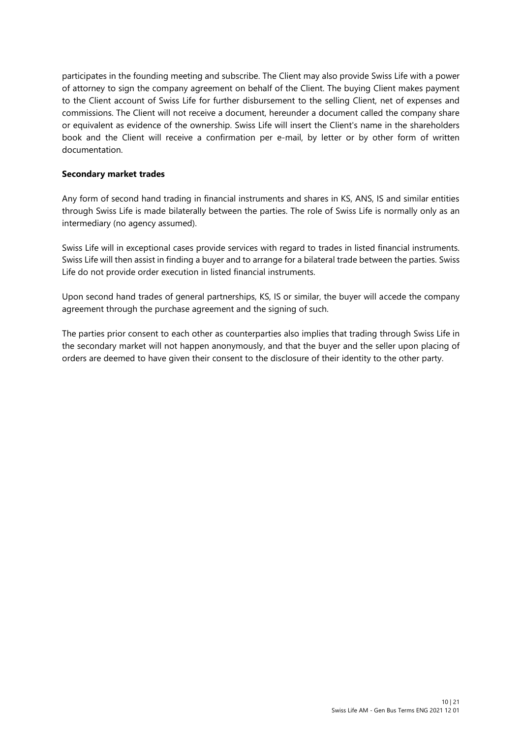participates in the founding meeting and subscribe. The Client may also provide Swiss Life with a power of attorney to sign the company agreement on behalf of the Client. The buying Client makes payment to the Client account of Swiss Life for further disbursement to the selling Client, net of expenses and commissions. The Client will not receive a document, hereunder a document called the company share or equivalent as evidence of the ownership. Swiss Life will insert the Client's name in the shareholders book and the Client will receive a confirmation per e-mail, by letter or by other form of written documentation.

#### **Secondary market trades**

Any form of second hand trading in financial instruments and shares in KS, ANS, IS and similar entities through Swiss Life is made bilaterally between the parties. The role of Swiss Life is normally only as an intermediary (no agency assumed).

Swiss Life will in exceptional cases provide services with regard to trades in listed financial instruments. Swiss Life will then assist in finding a buyer and to arrange for a bilateral trade between the parties. Swiss Life do not provide order execution in listed financial instruments.

Upon second hand trades of general partnerships, KS, IS or similar, the buyer will accede the company agreement through the purchase agreement and the signing of such.

The parties prior consent to each other as counterparties also implies that trading through Swiss Life in the secondary market will not happen anonymously, and that the buyer and the seller upon placing of orders are deemed to have given their consent to the disclosure of their identity to the other party.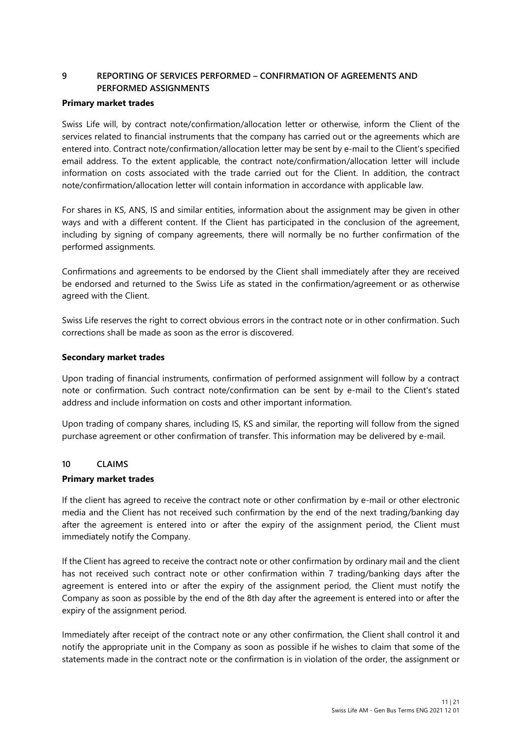# **9 REPORTING OF SERVICES PERFORMED – CONFIRMATION OF AGREEMENTS AND PERFORMED ASSIGNMENTS**

#### **Primary market trades**

Swiss Life will, by contract note/confirmation/allocation letter or otherwise, inform the Client of the services related to financial instruments that the company has carried out or the agreements which are entered into. Contract note/confirmation/allocation letter may be sent by e-mail to the Client's specified email address. To the extent applicable, the contract note/confirmation/allocation letter will include information on costs associated with the trade carried out for the Client. In addition, the contract note/confirmation/allocation letter will contain information in accordance with applicable law.

For shares in KS, ANS, IS and similar entities, information about the assignment may be given in other ways and with a different content. If the Client has participated in the conclusion of the agreement, including by signing of company agreements, there will normally be no further confirmation of the performed assignments.

Confirmations and agreements to be endorsed by the Client shall immediately after they are received be endorsed and returned to the Swiss Life as stated in the confirmation/agreement or as otherwise agreed with the Client.

Swiss Life reserves the right to correct obvious errors in the contract note or in other confirmation. Such corrections shall be made as soon as the error is discovered.

#### **Secondary market trades**

Upon trading of financial instruments, confirmation of performed assignment will follow by a contract note or confirmation. Such contract note/confirmation can be sent by e-mail to the Client's stated address and include information on costs and other important information.

Upon trading of company shares, including IS, KS and similar, the reporting will follow from the signed purchase agreement or other confirmation of transfer. This information may be delivered by e-mail.

#### **10 CLAIMS**

#### **Primary market trades**

If the client has agreed to receive the contract note or other confirmation by e-mail or other electronic media and the Client has not received such confirmation by the end of the next trading/banking day after the agreement is entered into or after the expiry of the assignment period, the Client must immediately notify the Company.

If the Client has agreed to receive the contract note or other confirmation by ordinary mail and the client has not received such contract note or other confirmation within 7 trading/banking days after the agreement is entered into or after the expiry of the assignment period, the Client must notify the Company as soon as possible by the end of the 8th day after the agreement is entered into or after the expiry of the assignment period.

Immediately after receipt of the contract note or any other confirmation, the Client shall control it and notify the appropriate unit in the Company as soon as possible if he wishes to claim that some of the statements made in the contract note or the confirmation is in violation of the order, the assignment or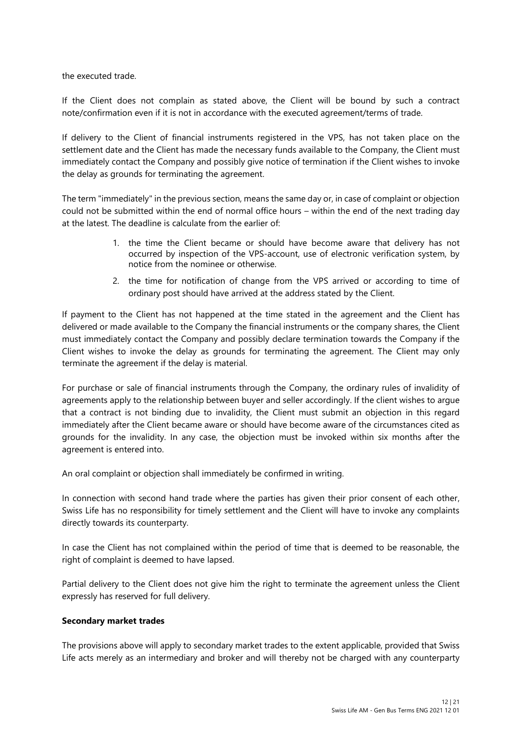the executed trade.

If the Client does not complain as stated above, the Client will be bound by such a contract note/confirmation even if it is not in accordance with the executed agreement/terms of trade.

If delivery to the Client of financial instruments registered in the VPS, has not taken place on the settlement date and the Client has made the necessary funds available to the Company, the Client must immediately contact the Company and possibly give notice of termination if the Client wishes to invoke the delay as grounds for terminating the agreement.

The term "immediately" in the previous section, means the same day or, in case of complaint or objection could not be submitted within the end of normal office hours – within the end of the next trading day at the latest. The deadline is calculate from the earlier of:

- 1. the time the Client became or should have become aware that delivery has not occurred by inspection of the VPS-account, use of electronic verification system, by notice from the nominee or otherwise.
- 2. the time for notification of change from the VPS arrived or according to time of ordinary post should have arrived at the address stated by the Client.

If payment to the Client has not happened at the time stated in the agreement and the Client has delivered or made available to the Company the financial instruments or the company shares, the Client must immediately contact the Company and possibly declare termination towards the Company if the Client wishes to invoke the delay as grounds for terminating the agreement. The Client may only terminate the agreement if the delay is material.

For purchase or sale of financial instruments through the Company, the ordinary rules of invalidity of agreements apply to the relationship between buyer and seller accordingly. If the client wishes to argue that a contract is not binding due to invalidity, the Client must submit an objection in this regard immediately after the Client became aware or should have become aware of the circumstances cited as grounds for the invalidity. In any case, the objection must be invoked within six months after the agreement is entered into.

An oral complaint or objection shall immediately be confirmed in writing.

In connection with second hand trade where the parties has given their prior consent of each other, Swiss Life has no responsibility for timely settlement and the Client will have to invoke any complaints directly towards its counterparty.

In case the Client has not complained within the period of time that is deemed to be reasonable, the right of complaint is deemed to have lapsed.

Partial delivery to the Client does not give him the right to terminate the agreement unless the Client expressly has reserved for full delivery.

#### **Secondary market trades**

The provisions above will apply to secondary market trades to the extent applicable, provided that Swiss Life acts merely as an intermediary and broker and will thereby not be charged with any counterparty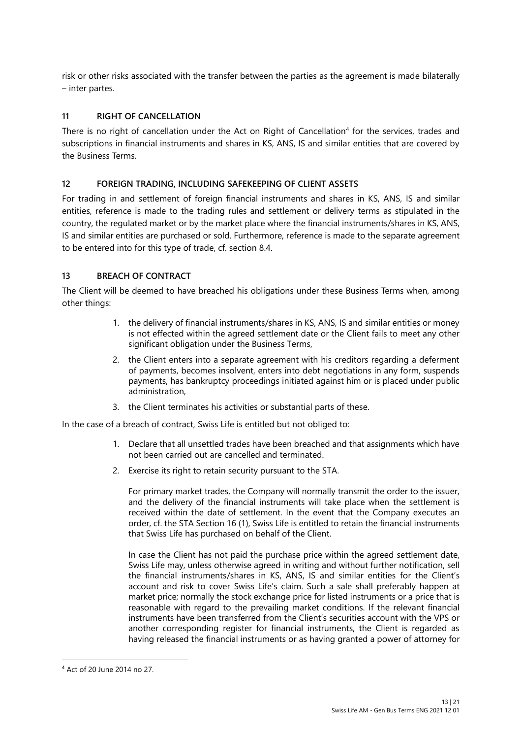risk or other risks associated with the transfer between the parties as the agreement is made bilaterally – inter partes.

#### **11 RIGHT OF CANCELLATION**

There is no right of cancellation under the Act on Right of Cancellation<sup>4</sup> for the services, trades and subscriptions in financial instruments and shares in KS, ANS, IS and similar entities that are covered by the Business Terms.

#### **12 FOREIGN TRADING, INCLUDING SAFEKEEPING OF CLIENT ASSETS**

For trading in and settlement of foreign financial instruments and shares in KS, ANS, IS and similar entities, reference is made to the trading rules and settlement or delivery terms as stipulated in the country, the regulated market or by the market place where the financial instruments/shares in KS, ANS, IS and similar entities are purchased or sold. Furthermore, reference is made to the separate agreement to be entered into for this type of trade, cf. section 8.4.

#### **13 BREACH OF CONTRACT**

The Client will be deemed to have breached his obligations under these Business Terms when, among other things:

- 1. the delivery of financial instruments/shares in KS, ANS, IS and similar entities or money is not effected within the agreed settlement date or the Client fails to meet any other significant obligation under the Business Terms,
- 2. the Client enters into a separate agreement with his creditors regarding a deferment of payments, becomes insolvent, enters into debt negotiations in any form, suspends payments, has bankruptcy proceedings initiated against him or is placed under public administration,
- 3. the Client terminates his activities or substantial parts of these.

In the case of a breach of contract, Swiss Life is entitled but not obliged to:

- 1. Declare that all unsettled trades have been breached and that assignments which have not been carried out are cancelled and terminated.
- 2. Exercise its right to retain security pursuant to the STA.

For primary market trades, the Company will normally transmit the order to the issuer, and the delivery of the financial instruments will take place when the settlement is received within the date of settlement. In the event that the Company executes an order, cf. the STA Section 16 (1), Swiss Life is entitled to retain the financial instruments that Swiss Life has purchased on behalf of the Client.

In case the Client has not paid the purchase price within the agreed settlement date, Swiss Life may, unless otherwise agreed in writing and without further notification, sell the financial instruments/shares in KS, ANS, IS and similar entities for the Client's account and risk to cover Swiss Life's claim. Such a sale shall preferably happen at market price; normally the stock exchange price for listed instruments or a price that is reasonable with regard to the prevailing market conditions. If the relevant financial instruments have been transferred from the Client's securities account with the VPS or another corresponding register for financial instruments, the Client is regarded as having released the financial instruments or as having granted a power of attorney for

<sup>4</sup> Act of 20 June 2014 no 27.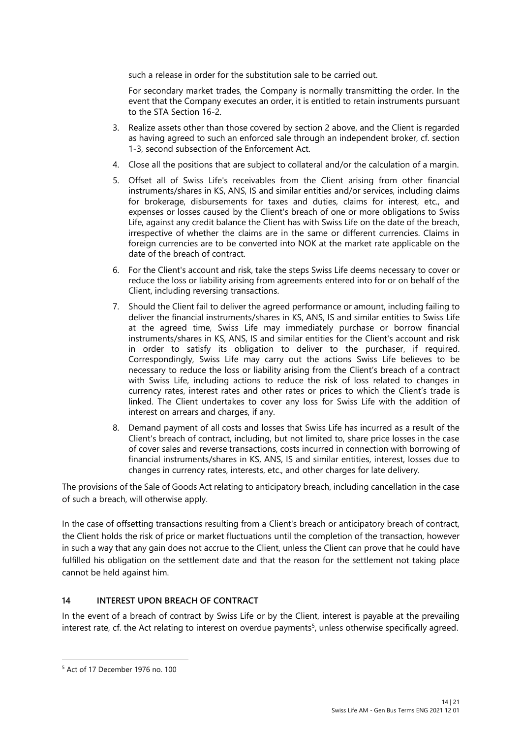such a release in order for the substitution sale to be carried out.

For secondary market trades, the Company is normally transmitting the order. In the event that the Company executes an order, it is entitled to retain instruments pursuant to the STA Section 16-2.

- 3. Realize assets other than those covered by section 2 above, and the Client is regarded as having agreed to such an enforced sale through an independent broker, cf. section 1-3, second subsection of the Enforcement Act.
- 4. Close all the positions that are subject to collateral and/or the calculation of a margin.
- 5. Offset all of Swiss Life's receivables from the Client arising from other financial instruments/shares in KS, ANS, IS and similar entities and/or services, including claims for brokerage, disbursements for taxes and duties, claims for interest, etc., and expenses or losses caused by the Client's breach of one or more obligations to Swiss Life, against any credit balance the Client has with Swiss Life on the date of the breach, irrespective of whether the claims are in the same or different currencies. Claims in foreign currencies are to be converted into NOK at the market rate applicable on the date of the breach of contract.
- 6. For the Client's account and risk, take the steps Swiss Life deems necessary to cover or reduce the loss or liability arising from agreements entered into for or on behalf of the Client, including reversing transactions.
- 7. Should the Client fail to deliver the agreed performance or amount, including failing to deliver the financial instruments/shares in KS, ANS, IS and similar entities to Swiss Life at the agreed time, Swiss Life may immediately purchase or borrow financial instruments/shares in KS, ANS, IS and similar entities for the Client's account and risk in order to satisfy its obligation to deliver to the purchaser, if required. Correspondingly, Swiss Life may carry out the actions Swiss Life believes to be necessary to reduce the loss or liability arising from the Client's breach of a contract with Swiss Life, including actions to reduce the risk of loss related to changes in currency rates, interest rates and other rates or prices to which the Client's trade is linked. The Client undertakes to cover any loss for Swiss Life with the addition of interest on arrears and charges, if any.
- 8. Demand payment of all costs and losses that Swiss Life has incurred as a result of the Client's breach of contract, including, but not limited to, share price losses in the case of cover sales and reverse transactions, costs incurred in connection with borrowing of financial instruments/shares in KS, ANS, IS and similar entities, interest, losses due to changes in currency rates, interests, etc., and other charges for late delivery.

The provisions of the Sale of Goods Act relating to anticipatory breach, including cancellation in the case of such a breach, will otherwise apply.

In the case of offsetting transactions resulting from a Client's breach or anticipatory breach of contract, the Client holds the risk of price or market fluctuations until the completion of the transaction, however in such a way that any gain does not accrue to the Client, unless the Client can prove that he could have fulfilled his obligation on the settlement date and that the reason for the settlement not taking place cannot be held against him.

### **14 INTEREST UPON BREACH OF CONTRACT**

In the event of a breach of contract by Swiss Life or by the Client, interest is payable at the prevailing interest rate, cf. the Act relating to interest on overdue payments<sup>5</sup>, unless otherwise specifically agreed.

<sup>5</sup> Act of 17 December 1976 no. 100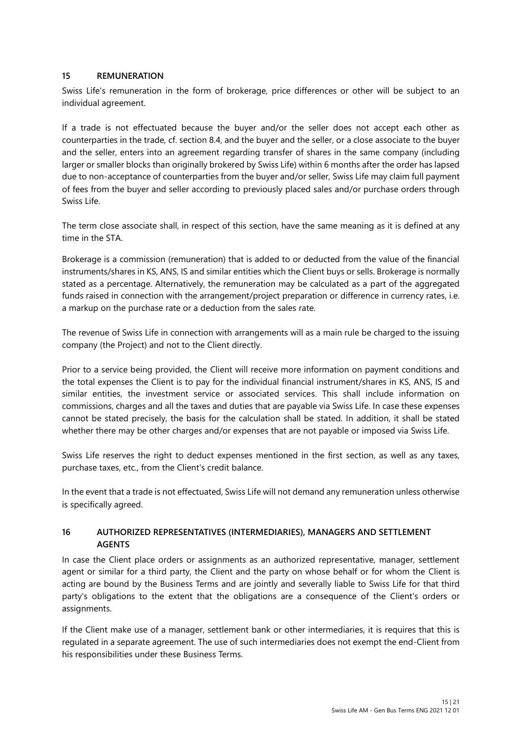#### **15 REMUNERATION**

Swiss Life's remuneration in the form of brokerage, price differences or other will be subject to an individual agreement.

If a trade is not effectuated because the buyer and/or the seller does not accept each other as counterparties in the trade, cf. section 8.4, and the buyer and the seller, or a close associate to the buyer and the seller, enters into an agreement regarding transfer of shares in the same company (including larger or smaller blocks than originally brokered by Swiss Life) within 6 months after the order has lapsed due to non-acceptance of counterparties from the buyer and/or seller, Swiss Life may claim full payment of fees from the buyer and seller according to previously placed sales and/or purchase orders through Swiss Life.

The term close associate shall, in respect of this section, have the same meaning as it is defined at any time in the STA.

Brokerage is a commission (remuneration) that is added to or deducted from the value of the financial instruments/shares in KS, ANS, IS and similar entities which the Client buys or sells. Brokerage is normally stated as a percentage. Alternatively, the remuneration may be calculated as a part of the aggregated funds raised in connection with the arrangement/project preparation or difference in currency rates, i.e. a markup on the purchase rate or a deduction from the sales rate.

The revenue of Swiss Life in connection with arrangements will as a main rule be charged to the issuing company (the Project) and not to the Client directly.

Prior to a service being provided, the Client will receive more information on payment conditions and the total expenses the Client is to pay for the individual financial instrument/shares in KS, ANS, IS and similar entities, the investment service or associated services. This shall include information on commissions, charges and all the taxes and duties that are payable via Swiss Life. In case these expenses cannot be stated precisely, the basis for the calculation shall be stated. In addition, it shall be stated whether there may be other charges and/or expenses that are not payable or imposed via Swiss Life.

Swiss Life reserves the right to deduct expenses mentioned in the first section, as well as any taxes, purchase taxes, etc., from the Client's credit balance.

In the event that a trade is not effectuated, Swiss Life will not demand any remuneration unless otherwise is specifically agreed.

#### **16 AUTHORIZED REPRESENTATIVES (INTERMEDIARIES), MANAGERS AND SETTLEMENT AGENTS**

In case the Client place orders or assignments as an authorized representative, manager, settlement agent or similar for a third party, the Client and the party on whose behalf or for whom the Client is acting are bound by the Business Terms and are jointly and severally liable to Swiss Life for that third party's obligations to the extent that the obligations are a consequence of the Client's orders or assignments.

If the Client make use of a manager, settlement bank or other intermediaries, it is requires that this is regulated in a separate agreement. The use of such intermediaries does not exempt the end-Client from his responsibilities under these Business Terms.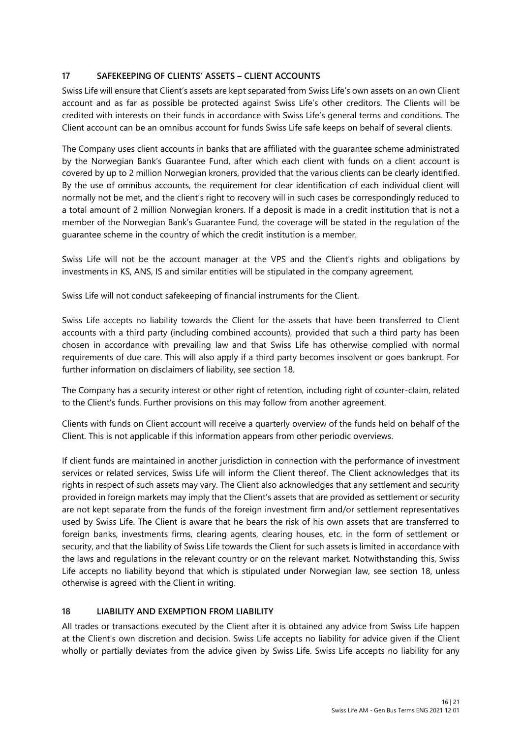### **17 SAFEKEEPING OF CLIENTS' ASSETS – CLIENT ACCOUNTS**

Swiss Life will ensure that Client's assets are kept separated from Swiss Life's own assets on an own Client account and as far as possible be protected against Swiss Life's other creditors. The Clients will be credited with interests on their funds in accordance with Swiss Life's general terms and conditions. The Client account can be an omnibus account for funds Swiss Life safe keeps on behalf of several clients.

The Company uses client accounts in banks that are affiliated with the guarantee scheme administrated by the Norwegian Bank's Guarantee Fund, after which each client with funds on a client account is covered by up to 2 million Norwegian kroners, provided that the various clients can be clearly identified. By the use of omnibus accounts, the requirement for clear identification of each individual client will normally not be met, and the client's right to recovery will in such cases be correspondingly reduced to a total amount of 2 million Norwegian kroners. If a deposit is made in a credit institution that is not a member of the Norwegian Bank's Guarantee Fund, the coverage will be stated in the regulation of the guarantee scheme in the country of which the credit institution is a member.

Swiss Life will not be the account manager at the VPS and the Client's rights and obligations by investments in KS, ANS, IS and similar entities will be stipulated in the company agreement.

Swiss Life will not conduct safekeeping of financial instruments for the Client.

Swiss Life accepts no liability towards the Client for the assets that have been transferred to Client accounts with a third party (including combined accounts), provided that such a third party has been chosen in accordance with prevailing law and that Swiss Life has otherwise complied with normal requirements of due care. This will also apply if a third party becomes insolvent or goes bankrupt. For further information on disclaimers of liability, see section 18.

The Company has a security interest or other right of retention, including right of counter-claim, related to the Client's funds. Further provisions on this may follow from another agreement.

Clients with funds on Client account will receive a quarterly overview of the funds held on behalf of the Client. This is not applicable if this information appears from other periodic overviews.

If client funds are maintained in another jurisdiction in connection with the performance of investment services or related services, Swiss Life will inform the Client thereof. The Client acknowledges that its rights in respect of such assets may vary. The Client also acknowledges that any settlement and security provided in foreign markets may imply that the Client's assets that are provided as settlement or security are not kept separate from the funds of the foreign investment firm and/or settlement representatives used by Swiss Life. The Client is aware that he bears the risk of his own assets that are transferred to foreign banks, investments firms, clearing agents, clearing houses, etc. in the form of settlement or security, and that the liability of Swiss Life towards the Client for such assets is limited in accordance with the laws and regulations in the relevant country or on the relevant market. Notwithstanding this, Swiss Life accepts no liability beyond that which is stipulated under Norwegian law, see section 18, unless otherwise is agreed with the Client in writing.

### **18 LIABILITY AND EXEMPTION FROM LIABILITY**

All trades or transactions executed by the Client after it is obtained any advice from Swiss Life happen at the Client's own discretion and decision. Swiss Life accepts no liability for advice given if the Client wholly or partially deviates from the advice given by Swiss Life. Swiss Life accepts no liability for any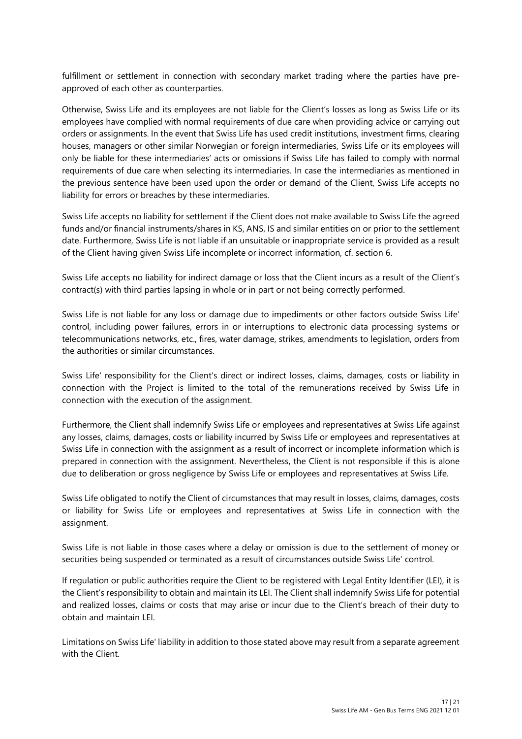fulfillment or settlement in connection with secondary market trading where the parties have preapproved of each other as counterparties.

Otherwise, Swiss Life and its employees are not liable for the Client's losses as long as Swiss Life or its employees have complied with normal requirements of due care when providing advice or carrying out orders or assignments. In the event that Swiss Life has used credit institutions, investment firms, clearing houses, managers or other similar Norwegian or foreign intermediaries, Swiss Life or its employees will only be liable for these intermediaries' acts or omissions if Swiss Life has failed to comply with normal requirements of due care when selecting its intermediaries. In case the intermediaries as mentioned in the previous sentence have been used upon the order or demand of the Client, Swiss Life accepts no liability for errors or breaches by these intermediaries.

Swiss Life accepts no liability for settlement if the Client does not make available to Swiss Life the agreed funds and/or financial instruments/shares in KS, ANS, IS and similar entities on or prior to the settlement date. Furthermore, Swiss Life is not liable if an unsuitable or inappropriate service is provided as a result of the Client having given Swiss Life incomplete or incorrect information, cf. section 6.

Swiss Life accepts no liability for indirect damage or loss that the Client incurs as a result of the Client's contract(s) with third parties lapsing in whole or in part or not being correctly performed.

Swiss Life is not liable for any loss or damage due to impediments or other factors outside Swiss Life' control, including power failures, errors in or interruptions to electronic data processing systems or telecommunications networks, etc., fires, water damage, strikes, amendments to legislation, orders from the authorities or similar circumstances.

Swiss Life' responsibility for the Client's direct or indirect losses, claims, damages, costs or liability in connection with the Project is limited to the total of the remunerations received by Swiss Life in connection with the execution of the assignment.

Furthermore, the Client shall indemnify Swiss Life or employees and representatives at Swiss Life against any losses, claims, damages, costs or liability incurred by Swiss Life or employees and representatives at Swiss Life in connection with the assignment as a result of incorrect or incomplete information which is prepared in connection with the assignment. Nevertheless, the Client is not responsible if this is alone due to deliberation or gross negligence by Swiss Life or employees and representatives at Swiss Life.

Swiss Life obligated to notify the Client of circumstances that may result in losses, claims, damages, costs or liability for Swiss Life or employees and representatives at Swiss Life in connection with the assignment.

Swiss Life is not liable in those cases where a delay or omission is due to the settlement of money or securities being suspended or terminated as a result of circumstances outside Swiss Life' control.

If regulation or public authorities require the Client to be registered with Legal Entity Identifier (LEI), it is the Client's responsibility to obtain and maintain its LEI. The Client shall indemnify Swiss Life for potential and realized losses, claims or costs that may arise or incur due to the Client's breach of their duty to obtain and maintain LEI.

Limitations on Swiss Life' liability in addition to those stated above may result from a separate agreement with the Client.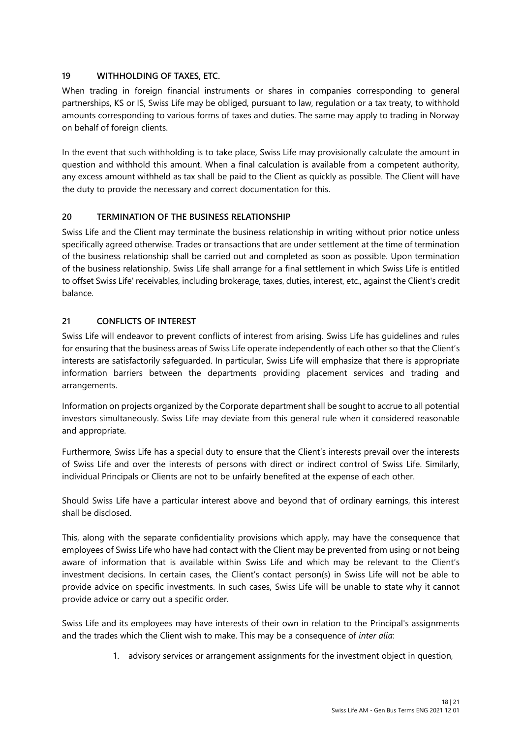### **19 WITHHOLDING OF TAXES, ETC.**

When trading in foreign financial instruments or shares in companies corresponding to general partnerships, KS or IS, Swiss Life may be obliged, pursuant to law, regulation or a tax treaty, to withhold amounts corresponding to various forms of taxes and duties. The same may apply to trading in Norway on behalf of foreign clients.

In the event that such withholding is to take place, Swiss Life may provisionally calculate the amount in question and withhold this amount. When a final calculation is available from a competent authority, any excess amount withheld as tax shall be paid to the Client as quickly as possible. The Client will have the duty to provide the necessary and correct documentation for this.

#### **20 TERMINATION OF THE BUSINESS RELATIONSHIP**

Swiss Life and the Client may terminate the business relationship in writing without prior notice unless specifically agreed otherwise. Trades or transactions that are under settlement at the time of termination of the business relationship shall be carried out and completed as soon as possible. Upon termination of the business relationship, Swiss Life shall arrange for a final settlement in which Swiss Life is entitled to offset Swiss Life' receivables, including brokerage, taxes, duties, interest, etc., against the Client's credit balance.

#### **21 CONFLICTS OF INTEREST**

Swiss Life will endeavor to prevent conflicts of interest from arising. Swiss Life has guidelines and rules for ensuring that the business areas of Swiss Life operate independently of each other so that the Client's interests are satisfactorily safeguarded. In particular, Swiss Life will emphasize that there is appropriate information barriers between the departments providing placement services and trading and arrangements.

Information on projects organized by the Corporate department shall be sought to accrue to all potential investors simultaneously. Swiss Life may deviate from this general rule when it considered reasonable and appropriate.

Furthermore, Swiss Life has a special duty to ensure that the Client's interests prevail over the interests of Swiss Life and over the interests of persons with direct or indirect control of Swiss Life. Similarly, individual Principals or Clients are not to be unfairly benefited at the expense of each other.

Should Swiss Life have a particular interest above and beyond that of ordinary earnings, this interest shall be disclosed.

This, along with the separate confidentiality provisions which apply, may have the consequence that employees of Swiss Life who have had contact with the Client may be prevented from using or not being aware of information that is available within Swiss Life and which may be relevant to the Client's investment decisions. In certain cases, the Client's contact person(s) in Swiss Life will not be able to provide advice on specific investments. In such cases, Swiss Life will be unable to state why it cannot provide advice or carry out a specific order.

Swiss Life and its employees may have interests of their own in relation to the Principal's assignments and the trades which the Client wish to make. This may be a consequence of *inter alia*:

1. advisory services or arrangement assignments for the investment object in question,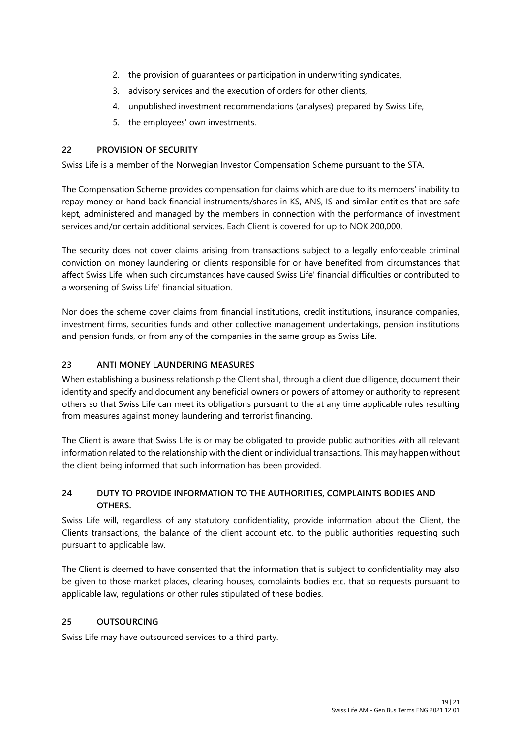- 2. the provision of guarantees or participation in underwriting syndicates,
- 3. advisory services and the execution of orders for other clients,
- 4. unpublished investment recommendations (analyses) prepared by Swiss Life,
- 5. the employees' own investments.

### **22 PROVISION OF SECURITY**

Swiss Life is a member of the Norwegian Investor Compensation Scheme pursuant to the STA.

The Compensation Scheme provides compensation for claims which are due to its members' inability to repay money or hand back financial instruments/shares in KS, ANS, IS and similar entities that are safe kept, administered and managed by the members in connection with the performance of investment services and/or certain additional services. Each Client is covered for up to NOK 200,000.

The security does not cover claims arising from transactions subject to a legally enforceable criminal conviction on money laundering or clients responsible for or have benefited from circumstances that affect Swiss Life, when such circumstances have caused Swiss Life' financial difficulties or contributed to a worsening of Swiss Life' financial situation.

Nor does the scheme cover claims from financial institutions, credit institutions, insurance companies, investment firms, securities funds and other collective management undertakings, pension institutions and pension funds, or from any of the companies in the same group as Swiss Life.

### **23 ANTI MONEY LAUNDERING MEASURES**

When establishing a business relationship the Client shall, through a client due diligence, document their identity and specify and document any beneficial owners or powers of attorney or authority to represent others so that Swiss Life can meet its obligations pursuant to the at any time applicable rules resulting from measures against money laundering and terrorist financing.

The Client is aware that Swiss Life is or may be obligated to provide public authorities with all relevant information related to the relationship with the client or individual transactions. This may happen without the client being informed that such information has been provided.

# **24 DUTY TO PROVIDE INFORMATION TO THE AUTHORITIES, COMPLAINTS BODIES AND OTHERS.**

Swiss Life will, regardless of any statutory confidentiality, provide information about the Client, the Clients transactions, the balance of the client account etc. to the public authorities requesting such pursuant to applicable law.

The Client is deemed to have consented that the information that is subject to confidentiality may also be given to those market places, clearing houses, complaints bodies etc. that so requests pursuant to applicable law, regulations or other rules stipulated of these bodies.

### **25 OUTSOURCING**

Swiss Life may have outsourced services to a third party.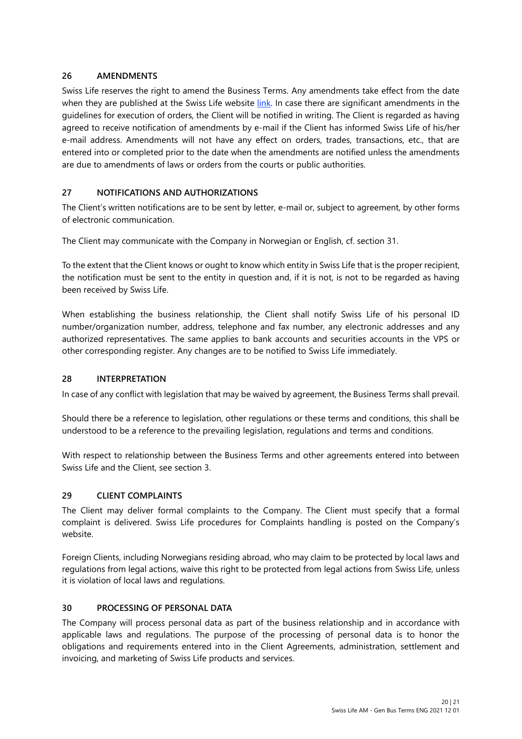### **26 AMENDMENTS**

Swiss Life reserves the right to amend the Business Terms. Any amendments take effect from the date when they are published at the Swiss Life website [link](https://no.swisslife-am.com/en/home/footer/policies-legal-entities.html). In case there are significant amendments in the guidelines for execution of orders, the Client will be notified in writing. The Client is regarded as having agreed to receive notification of amendments by e-mail if the Client has informed Swiss Life of his/her e-mail address. Amendments will not have any effect on orders, trades, transactions, etc., that are entered into or completed prior to the date when the amendments are notified unless the amendments are due to amendments of laws or orders from the courts or public authorities.

# **27 NOTIFICATIONS AND AUTHORIZATIONS**

The Client's written notifications are to be sent by letter, e-mail or, subject to agreement, by other forms of electronic communication.

The Client may communicate with the Company in Norwegian or English, cf. section 31.

To the extent that the Client knows or ought to know which entity in Swiss Life that is the proper recipient, the notification must be sent to the entity in question and, if it is not, is not to be regarded as having been received by Swiss Life.

When establishing the business relationship, the Client shall notify Swiss Life of his personal ID number/organization number, address, telephone and fax number, any electronic addresses and any authorized representatives. The same applies to bank accounts and securities accounts in the VPS or other corresponding register. Any changes are to be notified to Swiss Life immediately.

### **28 INTERPRETATION**

In case of any conflict with legislation that may be waived by agreement, the Business Terms shall prevail.

Should there be a reference to legislation, other regulations or these terms and conditions, this shall be understood to be a reference to the prevailing legislation, regulations and terms and conditions.

With respect to relationship between the Business Terms and other agreements entered into between Swiss Life and the Client, see section 3.

#### **29 CLIENT COMPLAINTS**

The Client may deliver formal complaints to the Company. The Client must specify that a formal complaint is delivered. Swiss Life procedures for Complaints handling is posted on the Company's website.

Foreign Clients, including Norwegians residing abroad, who may claim to be protected by local laws and regulations from legal actions, waive this right to be protected from legal actions from Swiss Life, unless it is violation of local laws and regulations.

#### **30 PROCESSING OF PERSONAL DATA**

The Company will process personal data as part of the business relationship and in accordance with applicable laws and regulations. The purpose of the processing of personal data is to honor the obligations and requirements entered into in the Client Agreements, administration, settlement and invoicing, and marketing of Swiss Life products and services.